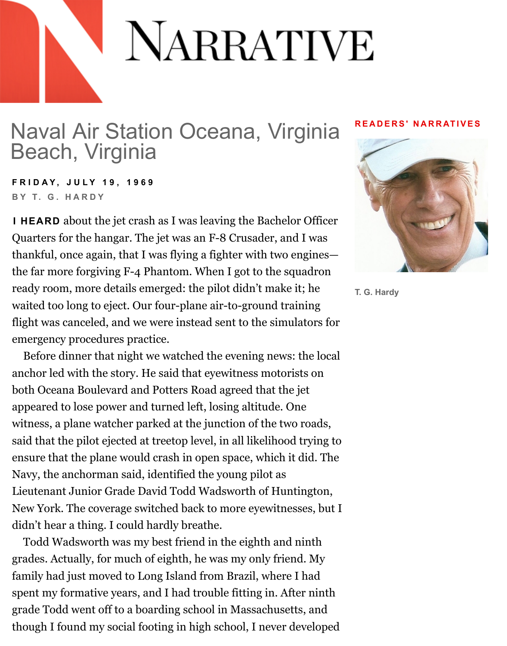## Naval Air Station Oceana, Virginia Beach, Virginia

**FRIDAY, JULY 19, 1969 BY T. G. HARDY**

**I HEARD** about the jet crash as I was leaving the Bachelor Officer Quarters for the hangar. The jet was an F-8 Crusader, and I was thankful, once again, that I was flying a fighter with two engines the far more forgiving F-4 Phantom. When I got to the squadron [ready room, more details emerged: the pilot didn't make it; he](http://www.narrativemagazine.com/authors/t-g-hardy) waited too long to eject. Our four-plane air-to-ground training flight was canceled, and we were instead sent to the simulators for emergency procedures practice.

Before dinner that night we watched the evening news: the local anchor led with the story. He said that eyewitness motorists on both Oceana Boulevard and Potters Road agreed that the jet appeared to lose power and turned left, losing altitude. One witness, a plane watcher parked at the junction of the two roads, said that the pilot ejected at treetop level, in all likelihood trying to ensure that the plane would crash in open space, which it did. The Navy, the anchorman said, identified the young pilot as Lieutenant Junior Grade David Todd Wadsworth of Huntington, New York. The coverage switched back to more eyewitnesses, but I didn't hear a thing. I could hardly breathe.

Todd Wadsworth was my best friend in the eighth and ninth grades. Actually, for much of eighth, he was my only friend. My family had just moved to Long Island from Brazil, where I had spent my formative years, and I had trouble fitting in. After ninth grade Todd went off to a boarding school in Massachusetts, and though I found my social footing in high school, I never developed

## **READERS' NAP**



**[T. G. Hardy](http://www.narrativemagazine.com/authors/t-g-hardy)**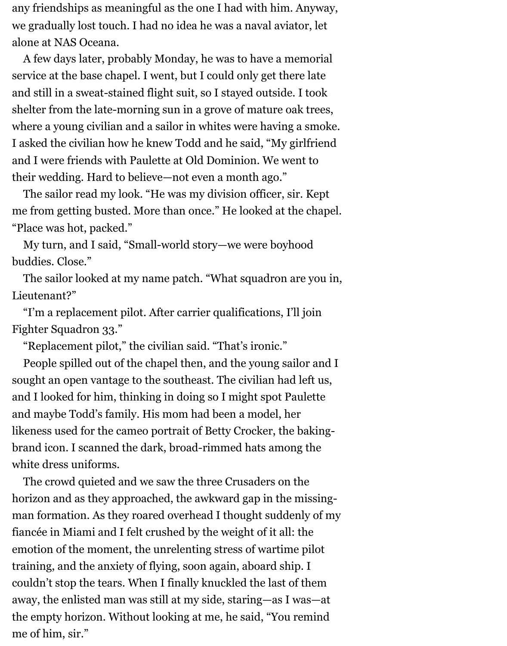any friendships as meaningful as the one I had with him. Anyway, we gradually lost touch. I had no idea he was a naval aviator, let alone at NAS Oceana.

A few days later, probably Monday, he was to have a memorial service at the base chapel. I went, but I could only get there late and still in a sweat-stained flight suit, so I stayed outside. I took shelter from the late-morning sun in a grove of mature oak trees, where a young civilian and a sailor in whites were having a smoke. I asked the civilian how he knew Todd and he said, "My girlfriend and I were friends with Paulette at Old Dominion. We went to their wedding. Hard to believe—not even a month ago."

The sailor read my look. "He was my division officer, sir. Kept me from getting busted. More than once." He looked at the chapel. "Place was hot, packed."

My turn, and I said, "Small-world story—we were boyhood buddies. Close."

The sailor looked at my name patch. "What squadron are you in, Lieutenant?"

"I'm a replacement pilot. After carrier qualifications, I'll join Fighter Squadron 33."

"Replacement pilot," the civilian said. "That's ironic."

People spilled out of the chapel then, and the young sailor and I sought an open vantage to the southeast. The civilian had left us, and I looked for him, thinking in doing so I might spot Paulette and maybe Todd's family. His mom had been a model, her likeness used for the cameo portrait of Betty Crocker, the bakingbrand icon. I scanned the dark, broad-rimmed hats among the white dress uniforms.

The crowd quieted and we saw the three Crusaders on the horizon and as they approached, the awkward gap in the missingman formation. As they roared overhead I thought suddenly of my fiancée in Miami and I felt crushed by the weight of it all: the emotion of the moment, the unrelenting stress of wartime pilot training, and the anxiety of flying, soon again, aboard ship. I couldn't stop the tears. When I finally knuckled the last of them away, the enlisted man was still at my side, staring—as I was—at the empty horizon. Without looking at me, he said, "You remind me of him, sir."